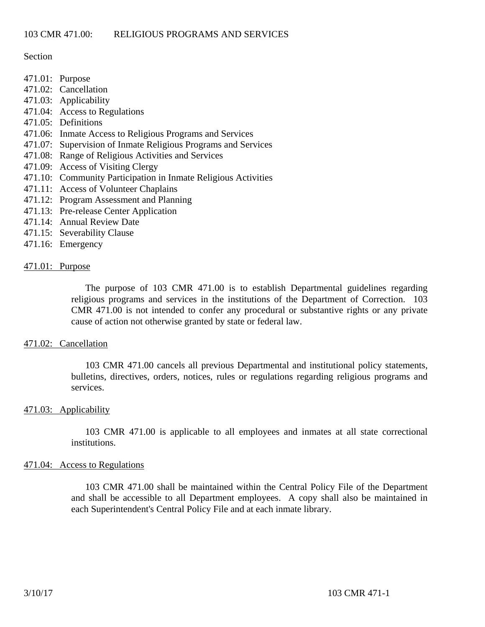Section

- 471.01: Purpose
- 471.02: Cancellation
- 471.03: Applicability
- 471.04: Access to Regulations
- 471.05: Definitions
- 471.06: Inmate Access to Religious Programs and Services
- 471.07: Supervision of Inmate Religious Programs and Services
- 471.08: Range of Religious Activities and Services
- 471.09: Access of Visiting Clergy
- 471.10: Community Participation in Inmate Religious Activities
- 471.11: Access of Volunteer Chaplains
- 471.12: Program Assessment and Planning
- 471.13: Pre-release Center Application
- 471.14: Annual Review Date
- 471.15: Severability Clause
- 471.16: Emergency

### 471.01: Purpose

The purpose of 103 CMR 471.00 is to establish Departmental guidelines regarding religious programs and services in the institutions of the Department of Correction. 103 CMR 471.00 is not intended to confer any procedural or substantive rights or any private cause of action not otherwise granted by state or federal law.

#### 471.02: Cancellation

103 CMR 471.00 cancels all previous Departmental and institutional policy statements, bulletins, directives, orders, notices, rules or regulations regarding religious programs and services.

#### 471.03: Applicability

 103 CMR 471.00 is applicable to all employees and inmates at all state correctional institutions.

#### 471.04: Access to Regulations

103 CMR 471.00 shall be maintained within the Central Policy File of the Department and shall be accessible to all Department employees. A copy shall also be maintained in each Superintendent's Central Policy File and at each inmate library.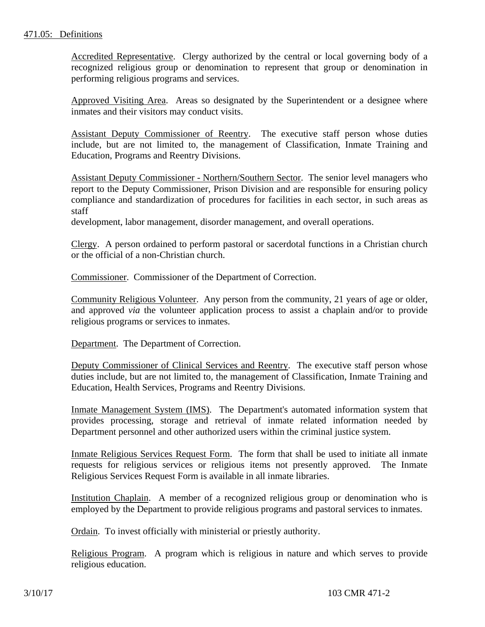Accredited Representative. Clergy authorized by the central or local governing body of a recognized religious group or denomination to represent that group or denomination in performing religious programs and services.

Approved Visiting Area. Areas so designated by the Superintendent or a designee where inmates and their visitors may conduct visits.

Assistant Deputy Commissioner of Reentry. The executive staff person whose duties include, but are not limited to, the management of Classification, Inmate Training and Education, Programs and Reentry Divisions.

Assistant Deputy Commissioner - Northern/Southern Sector. The senior level managers who report to the Deputy Commissioner, Prison Division and are responsible for ensuring policy compliance and standardization of procedures for facilities in each sector, in such areas as staff

development, labor management, disorder management, and overall operations.

Clergy. A person ordained to perform pastoral or sacerdotal functions in a Christian church or the official of a non-Christian church.

Commissioner. Commissioner of the Department of Correction.

Community Religious Volunteer. Any person from the community, 21 years of age or older, and approved *via* the volunteer application process to assist a chaplain and/or to provide religious programs or services to inmates.

Department. The Department of Correction.

Deputy Commissioner of Clinical Services and Reentry. The executive staff person whose duties include, but are not limited to, the management of Classification, Inmate Training and Education, Health Services, Programs and Reentry Divisions.

Inmate Management System (IMS). The Department's automated information system that provides processing, storage and retrieval of inmate related information needed by Department personnel and other authorized users within the criminal justice system.

Inmate Religious Services Request Form. The form that shall be used to initiate all inmate requests for religious services or religious items not presently approved. The Inmate Religious Services Request Form is available in all inmate libraries.

Institution Chaplain. A member of a recognized religious group or denomination who is employed by the Department to provide religious programs and pastoral services to inmates.

Ordain. To invest officially with ministerial or priestly authority.

Religious Program. A program which is religious in nature and which serves to provide religious education.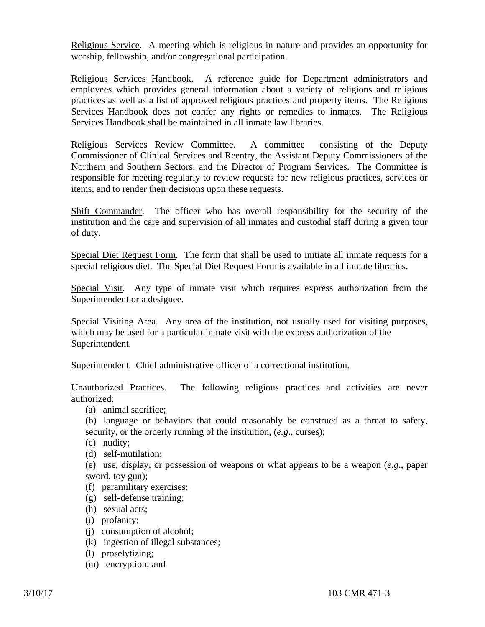Religious Service. A meeting which is religious in nature and provides an opportunity for worship, fellowship, and/or congregational participation.

Religious Services Handbook. A reference guide for Department administrators and employees which provides general information about a variety of religions and religious practices as well as a list of approved religious practices and property items. The Religious Services Handbook does not confer any rights or remedies to inmates. The Religious Services Handbook shall be maintained in all inmate law libraries.

Religious Services Review Committee. A committee consisting of the Deputy Commissioner of Clinical Services and Reentry, the Assistant Deputy Commissioners of the Northern and Southern Sectors, and the Director of Program Services. The Committee is responsible for meeting regularly to review requests for new religious practices, services or items, and to render their decisions upon these requests.

Shift Commander. The officer who has overall responsibility for the security of the institution and the care and supervision of all inmates and custodial staff during a given tour of duty.

Special Diet Request Form. The form that shall be used to initiate all inmate requests for a special religious diet. The Special Diet Request Form is available in all inmate libraries.

Special Visit. Any type of inmate visit which requires express authorization from the Superintendent or a designee.

Special Visiting Area. Any area of the institution, not usually used for visiting purposes, which may be used for a particular inmate visit with the express authorization of the Superintendent.

Superintendent. Chief administrative officer of a correctional institution.

Unauthorized Practices. The following religious practices and activities are never authorized:

- (a) animal sacrifice;
- (b) language or behaviors that could reasonably be construed as a threat to safety, security, or the orderly running of the institution, (*e.g*., curses);
- (c) nudity;
- (d) self-mutilation;

(e) use, display, or possession of weapons or what appears to be a weapon (*e.g*., paper sword, toy gun);

- (f) paramilitary exercises;
- (g) self-defense training;
- (h) sexual acts;
- (i) profanity;
- (j) consumption of alcohol;
- (k) ingestion of illegal substances;
- (l) proselytizing;
- (m) encryption; and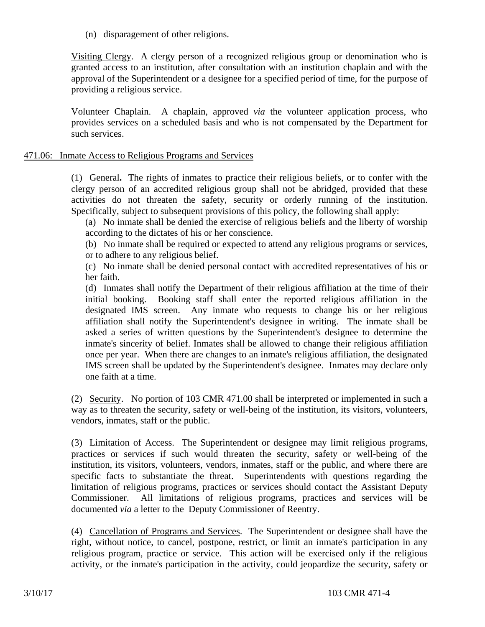(n) disparagement of other religions.

Visiting Clergy. A clergy person of a recognized religious group or denomination who is granted access to an institution, after consultation with an institution chaplain and with the approval of the Superintendent or a designee for a specified period of time, for the purpose of providing a religious service.

Volunteer Chaplain. A chaplain, approved *via* the volunteer application process, who provides services on a scheduled basis and who is not compensated by the Department for such services.

## 471.06: Inmate Access to Religious Programs and Services

(1) General**.** The rights of inmates to practice their religious beliefs, or to confer with the clergy person of an accredited religious group shall not be abridged, provided that these activities do not threaten the safety, security or orderly running of the institution. Specifically, subject to subsequent provisions of this policy, the following shall apply:

(a) No inmate shall be denied the exercise of religious beliefs and the liberty of worship according to the dictates of his or her conscience.

(b) No inmate shall be required or expected to attend any religious programs or services, or to adhere to any religious belief.

(c) No inmate shall be denied personal contact with accredited representatives of his or her faith.

(d) Inmates shall notify the Department of their religious affiliation at the time of their initial booking. Booking staff shall enter the reported religious affiliation in the designated IMS screen. Any inmate who requests to change his or her religious affiliation shall notify the Superintendent's designee in writing. The inmate shall be asked a series of written questions by the Superintendent's designee to determine the inmate's sincerity of belief. Inmates shall be allowed to change their religious affiliation once per year. When there are changes to an inmate's religious affiliation, the designated IMS screen shall be updated by the Superintendent's designee. Inmates may declare only one faith at a time.

(2) Security. No portion of 103 CMR 471.00 shall be interpreted or implemented in such a way as to threaten the security, safety or well-being of the institution, its visitors, volunteers, vendors, inmates, staff or the public.

(3) Limitation of Access. The Superintendent or designee may limit religious programs, practices or services if such would threaten the security, safety or well-being of the institution, its visitors, volunteers, vendors, inmates, staff or the public, and where there are specific facts to substantiate the threat. Superintendents with questions regarding the limitation of religious programs, practices or services should contact the Assistant Deputy Commissioner. All limitations of religious programs, practices and services will be documented *via* a letter to the Deputy Commissioner of Reentry.

(4) Cancellation of Programs and Services. The Superintendent or designee shall have the right, without notice, to cancel, postpone, restrict, or limit an inmate's participation in any religious program, practice or service. This action will be exercised only if the religious activity, or the inmate's participation in the activity, could jeopardize the security, safety or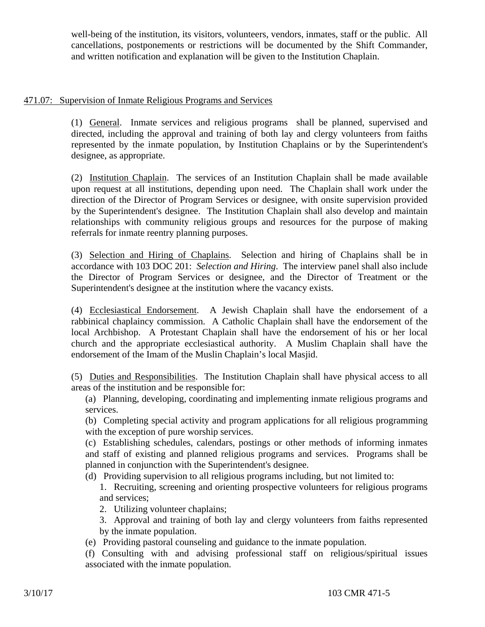well-being of the institution, its visitors, volunteers, vendors, inmates, staff or the public. All cancellations, postponements or restrictions will be documented by the Shift Commander, and written notification and explanation will be given to the Institution Chaplain.

# 471.07: Supervision of Inmate Religious Programs and Services

(1) General. Inmate services and religious programs shall be planned, supervised and directed, including the approval and training of both lay and clergy volunteers from faiths represented by the inmate population, by Institution Chaplains or by the Superintendent's designee, as appropriate.

(2) Institution Chaplain. The services of an Institution Chaplain shall be made available upon request at all institutions, depending upon need. The Chaplain shall work under the direction of the Director of Program Services or designee, with onsite supervision provided by the Superintendent's designee. The Institution Chaplain shall also develop and maintain relationships with community religious groups and resources for the purpose of making referrals for inmate reentry planning purposes.

(3) Selection and Hiring of Chaplains. Selection and hiring of Chaplains shall be in accordance with 103 DOC 201: *Selection and Hiring*. The interview panel shall also include the Director of Program Services or designee, and the Director of Treatment or the Superintendent's designee at the institution where the vacancy exists.

(4) Ecclesiastical Endorsement. A Jewish Chaplain shall have the endorsement of a rabbinical chaplaincy commission. A Catholic Chaplain shall have the endorsement of the local Archbishop. A Protestant Chaplain shall have the endorsement of his or her local church and the appropriate ecclesiastical authority. A Muslim Chaplain shall have the endorsement of the Imam of the Muslin Chaplain's local Masjid.

(5) Duties and Responsibilities. The Institution Chaplain shall have physical access to all areas of the institution and be responsible for:

(a) Planning, developing, coordinating and implementing inmate religious programs and services.

(b) Completing special activity and program applications for all religious programming with the exception of pure worship services.

(c) Establishing schedules, calendars, postings or other methods of informing inmates and staff of existing and planned religious programs and services. Programs shall be planned in conjunction with the Superintendent's designee.

(d) Providing supervision to all religious programs including, but not limited to:

1. Recruiting, screening and orienting prospective volunteers for religious programs and services;

2. Utilizing volunteer chaplains;

3. Approval and training of both lay and clergy volunteers from faiths represented by the inmate population.

(e) Providing pastoral counseling and guidance to the inmate population.

(f) Consulting with and advising professional staff on religious/spiritual issues associated with the inmate population.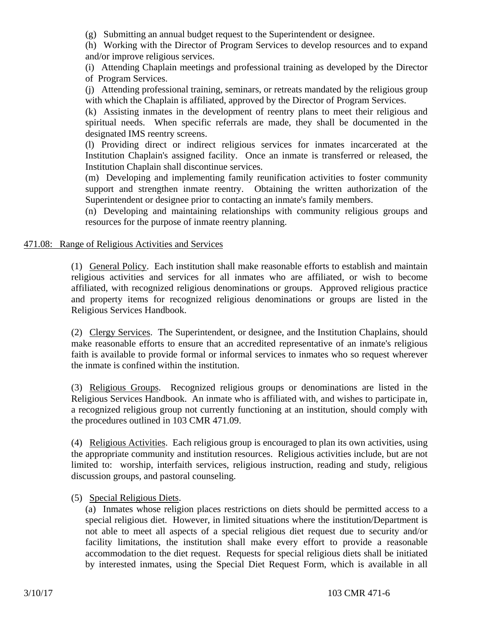(g) Submitting an annual budget request to the Superintendent or designee.

(h) Working with the Director of Program Services to develop resources and to expand and/or improve religious services.

(i) Attending Chaplain meetings and professional training as developed by the Director of Program Services.

(j) Attending professional training, seminars, or retreats mandated by the religious group with which the Chaplain is affiliated, approved by the Director of Program Services.

(k) Assisting inmates in the development of reentry plans to meet their religious and spiritual needs. When specific referrals are made, they shall be documented in the designated IMS reentry screens.

(l) Providing direct or indirect religious services for inmates incarcerated at the Institution Chaplain's assigned facility. Once an inmate is transferred or released, the Institution Chaplain shall discontinue services.

(m) Developing and implementing family reunification activities to foster community support and strengthen inmate reentry. Obtaining the written authorization of the Superintendent or designee prior to contacting an inmate's family members.

(n) Developing and maintaining relationships with community religious groups and resources for the purpose of inmate reentry planning.

# 471.08: Range of Religious Activities and Services

(1) General Policy. Each institution shall make reasonable efforts to establish and maintain religious activities and services for all inmates who are affiliated, or wish to become affiliated, with recognized religious denominations or groups. Approved religious practice and property items for recognized religious denominations or groups are listed in the Religious Services Handbook.

(2) Clergy Services. The Superintendent, or designee, and the Institution Chaplains, should make reasonable efforts to ensure that an accredited representative of an inmate's religious faith is available to provide formal or informal services to inmates who so request wherever the inmate is confined within the institution.

(3) Religious Groups. Recognized religious groups or denominations are listed in the Religious Services Handbook. An inmate who is affiliated with, and wishes to participate in, a recognized religious group not currently functioning at an institution, should comply with the procedures outlined in 103 CMR 471.09.

(4) Religious Activities. Each religious group is encouraged to plan its own activities, using the appropriate community and institution resources. Religious activities include, but are not limited to: worship, interfaith services, religious instruction, reading and study, religious discussion groups, and pastoral counseling.

(5) Special Religious Diets.

(a) Inmates whose religion places restrictions on diets should be permitted access to a special religious diet. However, in limited situations where the institution/Department is not able to meet all aspects of a special religious diet request due to security and/or facility limitations, the institution shall make every effort to provide a reasonable accommodation to the diet request. Requests for special religious diets shall be initiated by interested inmates, using the Special Diet Request Form, which is available in all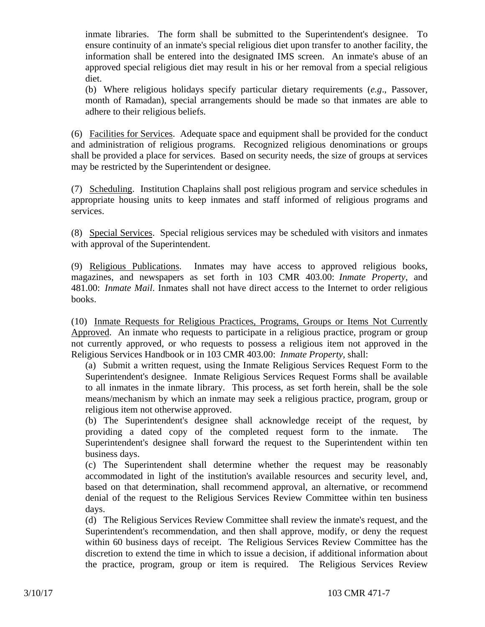inmate libraries. The form shall be submitted to the Superintendent's designee. To ensure continuity of an inmate's special religious diet upon transfer to another facility, the information shall be entered into the designated IMS screen. An inmate's abuse of an approved special religious diet may result in his or her removal from a special religious diet.

(b) Where religious holidays specify particular dietary requirements (*e.g*., Passover, month of Ramadan), special arrangements should be made so that inmates are able to adhere to their religious beliefs.

(6) Facilities for Services. Adequate space and equipment shall be provided for the conduct and administration of religious programs. Recognized religious denominations or groups shall be provided a place for services. Based on security needs, the size of groups at services may be restricted by the Superintendent or designee.

(7) Scheduling. Institution Chaplains shall post religious program and service schedules in appropriate housing units to keep inmates and staff informed of religious programs and services.

(8) Special Services. Special religious services may be scheduled with visitors and inmates with approval of the Superintendent.

(9) Religious Publications. Inmates may have access to approved religious books, magazines, and newspapers as set forth in 103 CMR 403.00: *Inmate Property*, and 481.00: *Inmate Mail*. Inmates shall not have direct access to the Internet to order religious books.

(10) Inmate Requests for Religious Practices, Programs, Groups or Items Not Currently Approved. An inmate who requests to participate in a religious practice, program or group not currently approved, or who requests to possess a religious item not approved in the Religious Services Handbook or in 103 CMR 403.00: *Inmate Property*, shall:

(a) Submit a written request, using the Inmate Religious Services Request Form to the Superintendent's designee. Inmate Religious Services Request Forms shall be available to all inmates in the inmate library. This process, as set forth herein, shall be the sole means/mechanism by which an inmate may seek a religious practice, program, group or religious item not otherwise approved.

(b) The Superintendent's designee shall acknowledge receipt of the request, by providing a dated copy of the completed request form to the inmate. The Superintendent's designee shall forward the request to the Superintendent within ten business days.

(c) The Superintendent shall determine whether the request may be reasonably accommodated in light of the institution's available resources and security level, and, based on that determination, shall recommend approval, an alternative, or recommend denial of the request to the Religious Services Review Committee within ten business days.

(d) The Religious Services Review Committee shall review the inmate's request, and the Superintendent's recommendation, and then shall approve, modify, or deny the request within 60 business days of receipt. The Religious Services Review Committee has the discretion to extend the time in which to issue a decision, if additional information about the practice, program, group or item is required. The Religious Services Review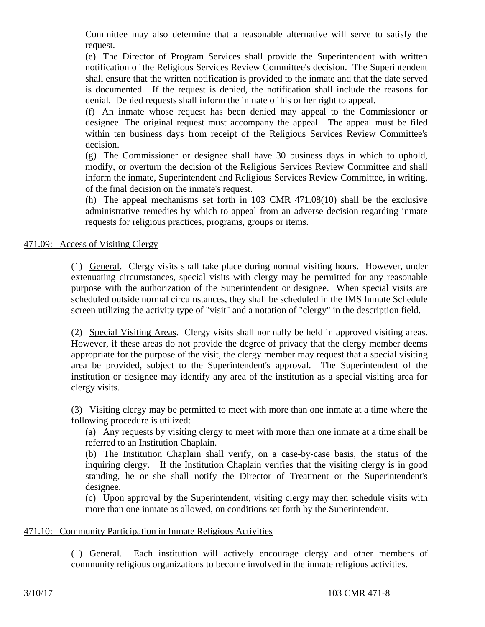Committee may also determine that a reasonable alternative will serve to satisfy the request.

(e) The Director of Program Services shall provide the Superintendent with written notification of the Religious Services Review Committee's decision. The Superintendent shall ensure that the written notification is provided to the inmate and that the date served is documented. If the request is denied, the notification shall include the reasons for denial. Denied requests shall inform the inmate of his or her right to appeal.

(f) An inmate whose request has been denied may appeal to the Commissioner or designee. The original request must accompany the appeal. The appeal must be filed within ten business days from receipt of the Religious Services Review Committee's decision.

(g) The Commissioner or designee shall have 30 business days in which to uphold, modify, or overturn the decision of the Religious Services Review Committee and shall inform the inmate, Superintendent and Religious Services Review Committee, in writing, of the final decision on the inmate's request.

(h) The appeal mechanisms set forth in 103 CMR 471.08(10) shall be the exclusive administrative remedies by which to appeal from an adverse decision regarding inmate requests for religious practices, programs, groups or items.

471.09: Access of Visiting Clergy

(1) General. Clergy visits shall take place during normal visiting hours. However, under extenuating circumstances, special visits with clergy may be permitted for any reasonable purpose with the authorization of the Superintendent or designee. When special visits are scheduled outside normal circumstances, they shall be scheduled in the IMS Inmate Schedule screen utilizing the activity type of "visit" and a notation of "clergy" in the description field.

(2) Special Visiting Areas. Clergy visits shall normally be held in approved visiting areas. However, if these areas do not provide the degree of privacy that the clergy member deems appropriate for the purpose of the visit, the clergy member may request that a special visiting area be provided, subject to the Superintendent's approval. The Superintendent of the institution or designee may identify any area of the institution as a special visiting area for clergy visits.

(3) Visiting clergy may be permitted to meet with more than one inmate at a time where the following procedure is utilized:

(a) Any requests by visiting clergy to meet with more than one inmate at a time shall be referred to an Institution Chaplain.

(b) The Institution Chaplain shall verify, on a case-by-case basis, the status of the inquiring clergy. If the Institution Chaplain verifies that the visiting clergy is in good standing, he or she shall notify the Director of Treatment or the Superintendent's designee.

(c) Upon approval by the Superintendent, visiting clergy may then schedule visits with more than one inmate as allowed, on conditions set forth by the Superintendent.

# 471.10: Community Participation in Inmate Religious Activities

(1) General. Each institution will actively encourage clergy and other members of community religious organizations to become involved in the inmate religious activities.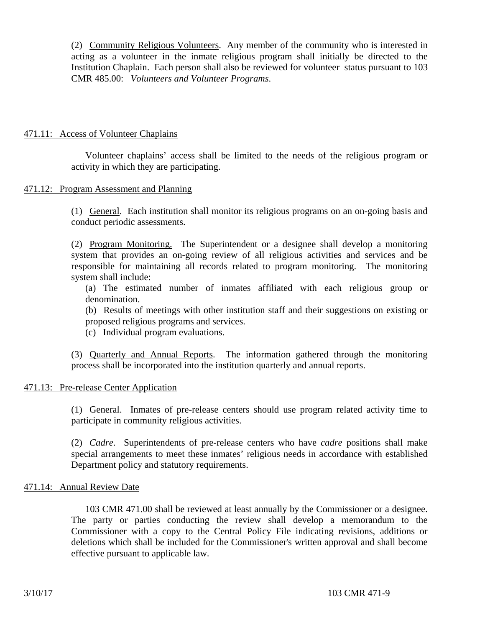(2) Community Religious Volunteers. Any member of the community who is interested in acting as a volunteer in the inmate religious program shall initially be directed to the Institution Chaplain. Each person shall also be reviewed for volunteer status pursuant to 103 CMR 485.00: *Volunteers and Volunteer Programs*.

## 471.11: Access of Volunteer Chaplains

Volunteer chaplains' access shall be limited to the needs of the religious program or activity in which they are participating.

### 471.12: Program Assessment and Planning

(1) General. Each institution shall monitor its religious programs on an on-going basis and conduct periodic assessments.

(2) Program Monitoring. The Superintendent or a designee shall develop a monitoring system that provides an on-going review of all religious activities and services and be responsible for maintaining all records related to program monitoring. The monitoring system shall include:

(a) The estimated number of inmates affiliated with each religious group or denomination.

(b) Results of meetings with other institution staff and their suggestions on existing or proposed religious programs and services.

(c) Individual program evaluations.

(3) Quarterly and Annual Reports. The information gathered through the monitoring process shall be incorporated into the institution quarterly and annual reports.

### 471.13: Pre-release Center Application

(1) General. Inmates of pre-release centers should use program related activity time to participate in community religious activities.

(2) *Cadre*. Superintendents of pre-release centers who have *cadre* positions shall make special arrangements to meet these inmates' religious needs in accordance with established Department policy and statutory requirements.

#### 471.14: Annual Review Date

103 CMR 471.00 shall be reviewed at least annually by the Commissioner or a designee. The party or parties conducting the review shall develop a memorandum to the Commissioner with a copy to the Central Policy File indicating revisions, additions or deletions which shall be included for the Commissioner's written approval and shall become effective pursuant to applicable law.